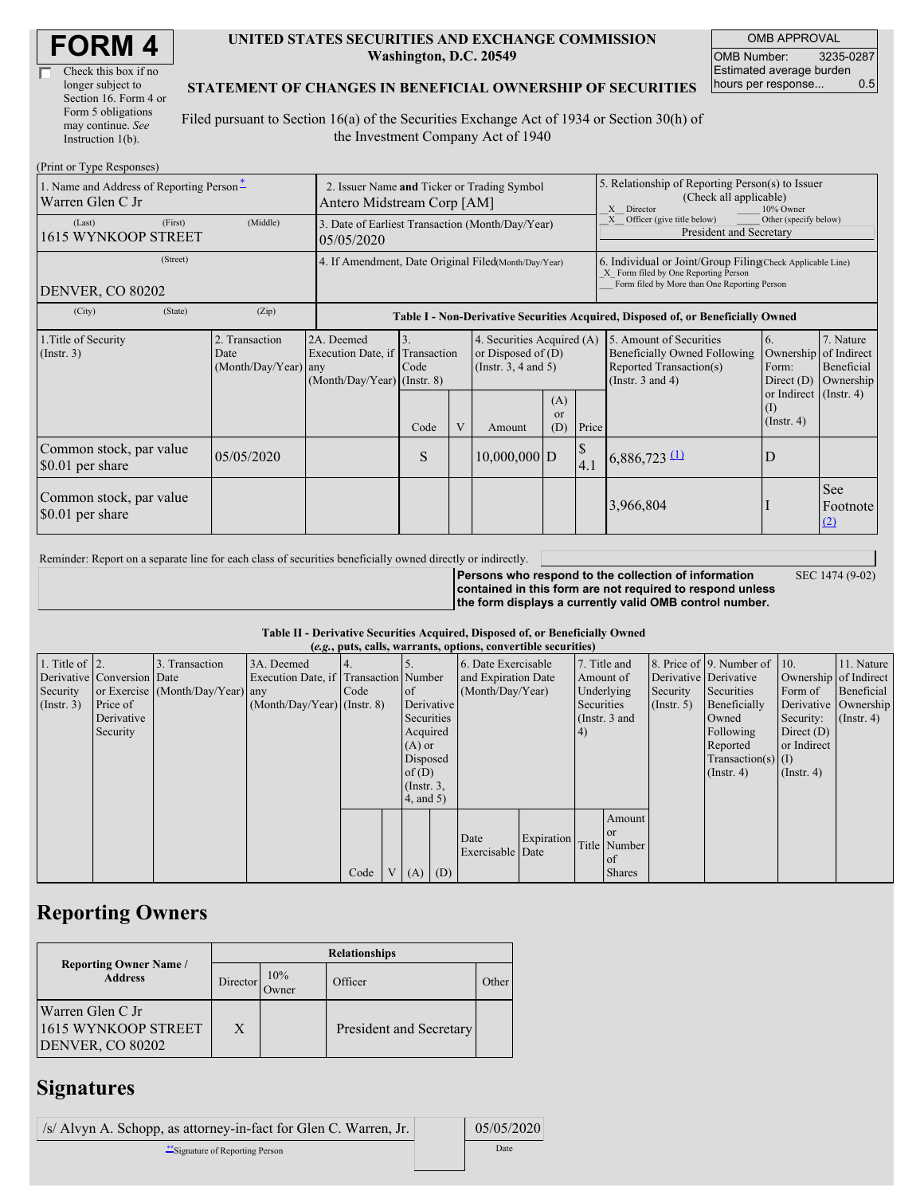| Check this box if no  |
|-----------------------|
| longer subject to     |
| Section 16. Form 4 or |
| Form 5 obligations    |
| may continue. See     |
| Instruction 1(b).     |

#### **UNITED STATES SECURITIES AND EXCHANGE COMMISSION Washington, D.C. 20549**

OMB APPROVAL OMB Number: 3235-0287 Estimated average burden hours per response... 0.5

#### **STATEMENT OF CHANGES IN BENEFICIAL OWNERSHIP OF SECURITIES**

Filed pursuant to Section 16(a) of the Securities Exchange Act of 1934 or Section 30(h) of the Investment Company Act of 1940

| (Print or Type Responses)                                    |                                                                           |                                                  |                                                                   |                                                                                  |                |                                                                                |                                                                                                       |       |                                                                                                                                                    |                                                        |                                                     |  |
|--------------------------------------------------------------|---------------------------------------------------------------------------|--------------------------------------------------|-------------------------------------------------------------------|----------------------------------------------------------------------------------|----------------|--------------------------------------------------------------------------------|-------------------------------------------------------------------------------------------------------|-------|----------------------------------------------------------------------------------------------------------------------------------------------------|--------------------------------------------------------|-----------------------------------------------------|--|
| 1. Name and Address of Reporting Person-<br>Warren Glen C Jr | 2. Issuer Name and Ticker or Trading Symbol<br>Antero Midstream Corp [AM] |                                                  |                                                                   |                                                                                  |                |                                                                                | 5. Relationship of Reporting Person(s) to Issuer<br>(Check all applicable)<br>X Director<br>10% Owner |       |                                                                                                                                                    |                                                        |                                                     |  |
| (Last)<br>1615 WYNKOOP STREET                                | (First)                                                                   | (Middle)                                         | 05/05/2020                                                        | 3. Date of Earliest Transaction (Month/Day/Year)                                 |                |                                                                                |                                                                                                       |       | Other (specify below)<br>Officer (give title below)<br>X<br>President and Secretary                                                                |                                                        |                                                     |  |
| <b>DENVER, CO 80202</b>                                      | (Street)                                                                  |                                                  |                                                                   | 4. If Amendment, Date Original Filed(Month/Day/Year)                             |                |                                                                                |                                                                                                       |       | 6. Individual or Joint/Group Filing Check Applicable Line)<br>X Form filed by One Reporting Person<br>Form filed by More than One Reporting Person |                                                        |                                                     |  |
| (City)                                                       | (State)                                                                   | (Zip)                                            |                                                                   | Table I - Non-Derivative Securities Acquired, Disposed of, or Beneficially Owned |                |                                                                                |                                                                                                       |       |                                                                                                                                                    |                                                        |                                                     |  |
| 1. Title of Security<br>(Insert. 3)                          |                                                                           | 2. Transaction<br>Date<br>$(Month/Day/Year)$ any | 2A. Deemed<br>Execution Date, if<br>$(Month/Day/Year)$ (Instr. 8) | Transaction<br>Code                                                              |                | 4. Securities Acquired (A)<br>or Disposed of $(D)$<br>(Instr. $3, 4$ and $5$ ) |                                                                                                       |       | 5. Amount of Securities<br><b>Beneficially Owned Following</b><br>Reported Transaction(s)<br>(Instr. $3$ and $4$ )                                 | 6.<br>Ownership<br>Form:<br>Direct $(D)$               | 7. Nature<br>of Indirect<br>Beneficial<br>Ownership |  |
|                                                              |                                                                           |                                                  |                                                                   | Code                                                                             | $\overline{V}$ | Amount                                                                         | (A)<br><sub>or</sub><br>(D)                                                                           | Price |                                                                                                                                                    | or Indirect (Instr. 4)<br>$\rm(I)$<br>$($ Instr. 4 $)$ |                                                     |  |
| Common stock, par value<br>\$0.01 per share                  |                                                                           | 05/05/2020                                       |                                                                   | S                                                                                |                | $10,000,000$ D                                                                 |                                                                                                       | 4.1   | $6,886,723$ $(1)$                                                                                                                                  | D                                                      |                                                     |  |
| Common stock, par value<br>\$0.01 per share                  |                                                                           |                                                  |                                                                   |                                                                                  |                |                                                                                |                                                                                                       |       | 3,966,804                                                                                                                                          |                                                        | See<br>Footnote<br>(2)                              |  |

Reminder: Report on a separate line for each class of securities beneficially owned directly or indirectly.

**Persons who respond to the collection of information contained in this form are not required to respond unless the form displays a currently valid OMB control number.**

SEC 1474 (9-02)

**Table II - Derivative Securities Acquired, Disposed of, or Beneficially Owned**

| (e.g., puts, calls, warrants, options, convertible securities) |                            |                                  |                                       |      |  |                 |                     |                     |            |               |               |                       |                              |                  |                      |
|----------------------------------------------------------------|----------------------------|----------------------------------|---------------------------------------|------|--|-----------------|---------------------|---------------------|------------|---------------|---------------|-----------------------|------------------------------|------------------|----------------------|
| 1. Title of $\vert$ 2.                                         |                            | 3. Transaction                   | 3A. Deemed                            |      |  |                 |                     | 6. Date Exercisable |            | 7. Title and  |               |                       | 8. Price of 9. Number of 10. |                  | 11. Nature           |
|                                                                | Derivative Conversion Date |                                  | Execution Date, if Transaction Number |      |  |                 | and Expiration Date |                     | Amount of  |               |               | Derivative Derivative | Ownership of Indirect        |                  |                      |
| Security                                                       |                            | or Exercise (Month/Day/Year) any |                                       | Code |  | of              |                     | (Month/Day/Year)    |            | Underlying    |               | Security              | Securities                   | Form of          | Beneficial           |
| $($ Instr. 3 $)$                                               | Price of                   |                                  | $(Month/Day/Year)$ (Instr. 8)         |      |  |                 | Derivative          |                     |            | Securities    |               | $($ Instr. 5 $)$      | Beneficially                 |                  | Derivative Ownership |
|                                                                | Derivative                 |                                  |                                       |      |  | Securities      |                     |                     |            | (Instr. 3 and |               |                       | Owned                        | Security:        | $($ Instr. 4 $)$     |
|                                                                | Security                   |                                  |                                       |      |  | Acquired        |                     |                     |            | (4)           |               |                       | Following                    | Direct $(D)$     |                      |
|                                                                |                            |                                  |                                       |      |  | $(A)$ or        |                     |                     |            |               |               | Reported              | or Indirect                  |                  |                      |
|                                                                |                            |                                  |                                       |      |  |                 | Disposed            |                     |            |               |               |                       | Transaction(s) $(I)$         |                  |                      |
|                                                                |                            |                                  |                                       |      |  | of $(D)$        |                     |                     |            |               |               |                       | $($ Instr. 4)                | $($ Instr. 4 $)$ |                      |
|                                                                |                            |                                  |                                       |      |  | $($ Instr. $3,$ |                     |                     |            |               |               |                       |                              |                  |                      |
|                                                                |                            |                                  |                                       |      |  | 4, and 5)       |                     |                     |            |               |               |                       |                              |                  |                      |
|                                                                |                            |                                  |                                       |      |  |                 |                     |                     |            |               | Amount        |                       |                              |                  |                      |
|                                                                |                            |                                  |                                       |      |  |                 |                     | Date                | Expiration |               | <b>or</b>     |                       |                              |                  |                      |
|                                                                |                            |                                  |                                       |      |  |                 |                     | Exercisable Date    |            |               | Title Number  |                       |                              |                  |                      |
|                                                                |                            |                                  |                                       |      |  |                 |                     |                     |            |               | l of          |                       |                              |                  |                      |
|                                                                |                            |                                  |                                       | Code |  | V   (A)   (D)   |                     |                     |            |               | <b>Shares</b> |                       |                              |                  |                      |

## **Reporting Owners**

|                                                                    | <b>Relationships</b> |              |                         |       |  |  |  |  |
|--------------------------------------------------------------------|----------------------|--------------|-------------------------|-------|--|--|--|--|
| <b>Reporting Owner Name /</b><br><b>Address</b>                    | Director'            | 10%<br>Owner | Officer                 | Other |  |  |  |  |
| Warren Glen C Jr<br>1615 WYNKOOP STREET<br><b>DENVER, CO 80202</b> | X                    |              | President and Secretary |       |  |  |  |  |

## **Signatures**

| /s/ Alvyn A. Schopp, as attorney-in-fact for Glen C. Warren, Jr. | 05/05/2020 |
|------------------------------------------------------------------|------------|
| Signature of Reporting Person                                    | Date       |